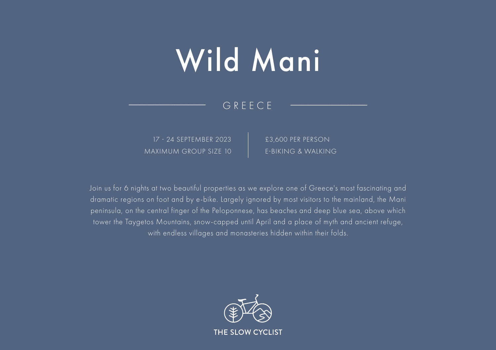# Wild Mani

### GREECE

17 - 24 SEPTEMBER 2023 MAXIMUM GROUP SIZE 10

£3,600 PER PERSON E-BIKING & WALKING

Join us for 6 nights at two beautiful properties as we explore one of Greece's most fascinating and dramatic regions on foot and by e-bike. Largely ignored by most visitors to the mainland, the Mani peninsula, on the central finger of the Peloponnese, has beaches and deep blue sea, above which tower the Taygetos Mountains, snow-capped until April and a place of myth and ancient refuge, with endless villages and monasteries hidden within their folds.

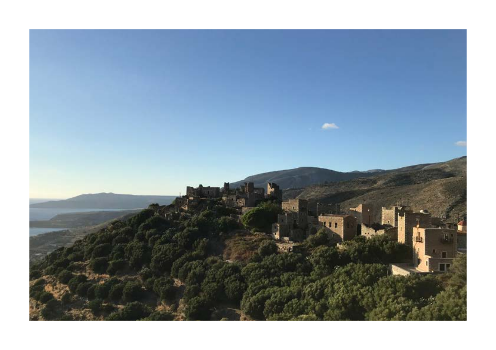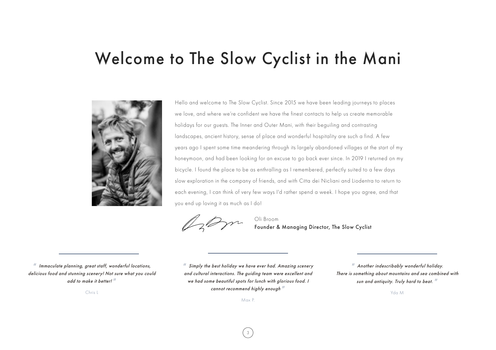### Welcome to The Slow Cyclist in the Mani



Hello and welcome to The Slow Cyclist. Since 2015 we have been leading journeys to places we love, and where we're confident we have the finest contacts to help us create memorable holidays for our guests. The Inner and Outer Mani, with their beguiling and contrasting landscapes, ancient history, sense of place and wonderful hospitality are such a find. A few years ago I spent some time meandering through its largely abandoned villages at the start of my honeymoon, and had been looking for an excuse to go back ever since. In 2019 I returned on my bicycle. I found the place to be as enthralling as I remembered, perfectly suited to a few days slow exploration in the company of friends, and with Citta dei Nicliani and Liodentra to return to each evening, I can think of very few ways I'd rather spend a week. I hope you agree, and that you end up loving it as much as I do!

Oli Broom Founder & Managing Director, The Slow Cyclist

 $^{\prime\prime}$  Immaculate planning, great staff, wonderful locations, delicious food and stunning scenery! Not sure what you could add to make it better! "

Chris L

 $\mu$  Simply the best holiday we have ever had. Amazing scenery and cultural interactions. The guiding team were excellent and we had some beautiful spots for lunch with glorious food. I cannot recommend highly enough "

Max P.

3

" Another indescribably wonderful holiday. There is something about mountains and sea combined with sun and antiquity. Truly hard to beat. "

Yda M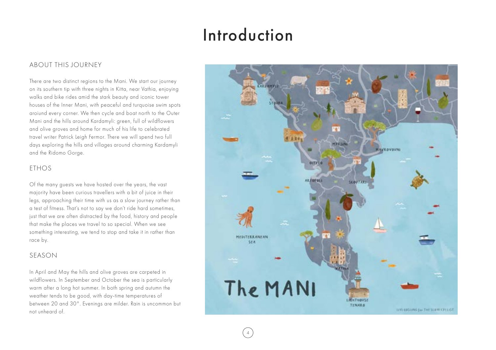# Introduction

### ABOUT THIS JOURNEY

There are two distinct regions to the Mani. We start our journey on its southern tip with three nights in Kitta, near Vathia, enjoying walks and bike rides amid the stark beauty and iconic tower houses of the Inner Mani, with peaceful and turquoise swim spots aroiund every corner. We then cycle and boat north to the Outer Mani and the hills around Kardamyli: green, full of wildflowers and olive groves and home for much of his life to celebrated travel writer Patrick Leigh Fermor. There we will spend two full days exploring the hills and villages around charming Kardamyli and the Ridomo Gorge.

### ETHOS

Of the many guests we have hosted over the years, the vast majority have been curious travellers with a bit of juice in their legs, approaching their time with us as a slow journey rather than a test of fitness. That's not to say we don't ride hard sometimes, just that we are often distracted by the food, history and people that make the places we travel to so special. When we see something interesting, we tend to stop and take it in rather than race by.

#### SEASON

In April and May the hills and olive groves are carpeted in wildflowers. In September and October the sea is particularly warm after a long hot summer. In both spring and autumn the weather tends to be good, with day-time temperatures of between 20 and 30°. Evenings are milder. Rain is uncommon but not unheard of.

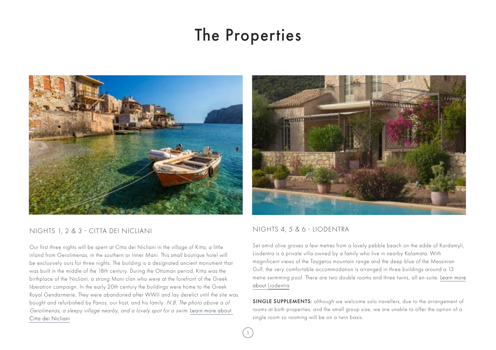## The Properties



### NIGHTS 1, 2 & 3 - CITTA DEI NICLIANI

Our first three nights will be spent at [Citta dei Nicliani](https://www.cittadeinicliani.com/) in the village of Kitta, a little inland from Gerolimenas, in the southern or Inner Mani. This small boutique hotel will be exclusively ours for three nights. The building is a designated ancient monument that was built in the middle of the 18th century. During the Ottoman period, Kitta was the birthplace of the Nicliani, a strong Mani clan who were at the forefront of the Greek liberation campaign. In the early 20th century the buildings were home to the Greek Royal Gendarmerie. They were abandoned after WWII and lay derelict until the site was bought and refurbished by Panos, our host, and his family. N.B. The photo above is of Gerolimenas, a sleepy village nearby, and a lovely spot for a swim. [Learn more about](https://www.cittadeinicliani.com/)  [Citta dei Nicliani](https://www.cittadeinicliani.com/)



#### NIGHTS 4, 5 & 6 - LIODENTRA

Set amid olive groves a few metres from a lovely pebble beach on the edde of Kardamyli, Liodentra is a private villa owned by a family who live in nearby Kalamata. With magnificent views of the Taygetos mountain range and the deep blue of the Messinian Gulf, the very comfortable accommodation is arranged in three buildings around a 13 metre swimming pool. There are two double rooms and three twins, all en-suite. [Learn more](https://www.liodentra.gr/) [about L](https://www.liodentra.gr/)iodentra

SINGLE SUPPLEMENTS: although we welcome solo travellers, due to the arrangement of rooms at both properties, and the small group size, we are unable to offer the option of a single room so rooming will be on a twin basis.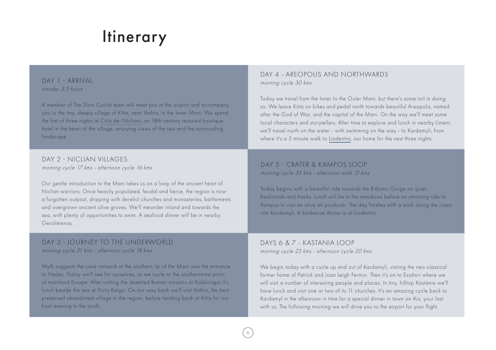# **Itinerary**

#### DAY 1 - ARRIVAL transfer 3.5 hours

A member of The Slow Cyclist team will meet you at the airport and accompany you to the tiny, sleepy village of Kitta, near Vathia, in the Inner Mani. We spend the first of three nights at [Citta dei Nicliani](https://www.cittadeinicliani.com/), an 18th century restored boutique hotel in the heart of the village, enjoying views of the sea and the surrounding landscape.

#### DAY 2 - NICLIAN VILLAGES morning cycle 17 kms - afternoon cycle 16 kms

Our gentle introduction to the Mani takes us on a loop of the ancient heart of Niclian warriors. Once heavily populated, feudal and fierce, the region is now a forgotten outpost, dripping with derelict churches and monasteries, battlements and overgrown ancient olive groves. We'll meander inland and towards the sea, with plenty of opportunities to swim. A seafood dinner will be in nearby Gerolimenas.

#### DAY 3 - JOURNEY TO THE UNDERWORLD morning cycle 31 kms - afternoon cycle 18 kms

Myth suggests the cave network at the southern tip of the Mani was the entrance to Hades. Today we'll see for ourselves, as we cycle to the southernmost point of mainland Europe. After visiting the deserted Roman mosaics at Kokkinogia it's lunch beside the sea at Porto Kaigo. On our way back we'll visit Vathia, the best preserved abandoned village in the region, before landing back at Kitta for our final evening in the south.

#### DAY 4 - AREOPOLIS AND NORTHWARDS morning cycle 30 kms

Today we travel from the Inner to the Outer Mani, but there's some toil in doing so. We leave Kitta on bikes and pedal north towards beautiful Areopolis, named after the God of War, and the capital of the Mani. On the way we'll meet some local characters and storytellers. After time to explore and lunch in nearby Limeni, we'll travel north on the water - with swimming on the way - to Kardamyli, from where it's a 5 minute walk to [Liodentra](https://www.liodentra.gr/), our home for the next three nights.

DAY 5 - CRATER & KAMPOS LOOP morning cycle 33 kms - afternoon walk 12 kms

Today begins with a beautiful ride towards the Ridomo Gorge on quiet backroads and tracks. Lunch will be in the meadows before an amazing ride to Kampos to visit an olive oil producer. The day finishes with a walk along the coast into Kardamyli. A barbecue dinner is at Liodentra.

DAYS 6 & 7 - KASTANIA LOOP morning cycle 23 kms - afternoon cycle 20 kms

We begin today with a cycle up and out of Kardamyli, visiting the neo-classical former home of Patrick and Joan Leigh Fermor. Then it's on to Exohori where we will visit a number of interesting people and places. In tiny, hilltop Kastania we'll have lunch and visit one or two of its 11 churches. It's an amazing cycle back to Kardamyl in the afternoon in time for a special dinner in town on this, your last with us. The following morning we will drive you to the airport for your flight.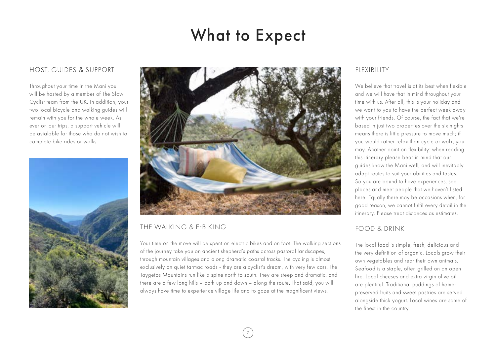# What to Expect

#### HOST, GUIDES & SUPPORT

Throughout your time in the Mani you will be hosted by a member of The Slow Cyclist team from the UK. In addition, your two local bicycle and walking guides will remain with you for the whole week. As ever on our trips, a support vehicle will be avialable for those who do not wish to complete bike rides or walks.





### THE WALKING & E-BIKING

Your time on the move will be spent on electric bikes and on foot. The walking sections of the journey take you on ancient shepherd's paths across pastoral landscapes, through mountain villages and along dramatic coastal tracks. The cycling is almost exclusively on quiet tarmac roads - they are a cyclist's dream, with very few cars. The Taygetos Mountains run like a spine north to south. They are steep and dramatic, and there are a few long hills – both up and down – along the route. That said, you will always have time to experience village life and to gaze at the magnificent views.

#### FLEXIBILITY

We believe that travel is at its best when flexible and we will have that in mind throughout your time with us. After all, this is your holiday and we want to you to have the perfect week away with your friends. Of course, the fact that we're based in just two properties over the six nights means there is little pressure to move much; if you would rather relax than cycle or walk, you may. Another point on flexibility: when reading this itinerary please bear in mind that our guides know the Mani well, and will inevitably adapt routes to suit your abilities and tastes. So you are bound to have experiences, see places and meet people that we haven't listed here. Equally there may be occasions when, for good reason, we cannot fulfil every detail in the itinerary. Please treat distances as estimates.

#### FOOD & DRINK

The local food is simple, fresh, delicious and the very definition of organic. Locals grow their own vegetables and rear their own animals. Seafood is a staple, often grilled on an open fire. Local cheeses and extra virgin olive oil are plentiful. Traditional puddings of homepreserved fruits and sweet pastries are served alongside thick yogurt. Local wines are some of the finest in the country.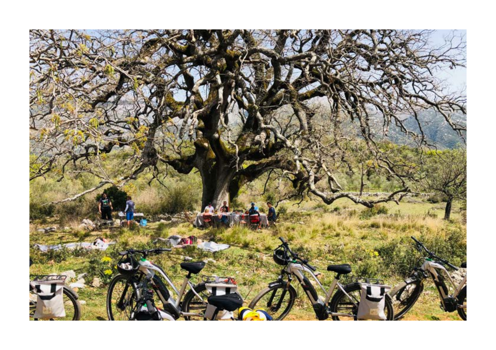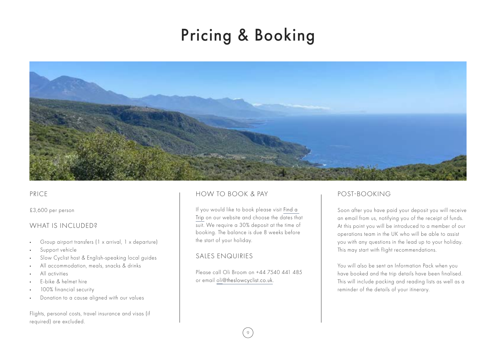# Pricing & Booking



#### PRICE

#### £3,600 per person

#### WHAT IS INCLUDED?

- Group airport transfers (1 x arrival, 1 x departure)
- Support vehicle
- Slow Cyclist host & English-speaking local guides
- All accommodation, meals, snacks & drinks
- All activities
- E-bike & helmet hire
- 100% financial security
- Donation to a cause aligned with our values

Flights, personal costs, travel insurance and visas (if required) are excluded.

#### HOW TO BOOK & PAY

If you would like to book please visit [Find a](https://bookings.theslowcyclist.co.uk/)  [Trip](https://bookings.theslowcyclist.co.uk/) on our website and choose the dates that suit. We require a 30% deposit at the time of booking. The balance is due 8 weeks before the start of your holiday.

#### SALES ENQUIRIES

Please call Oli Broom on +44 7540 441 485 or email oli[@theslowcyclist.co.uk.](mailto:oli%40theslowcyclist.co.uk?subject=)

9

### POST-BOOKING

Soon after you have paid your deposit you will receive an email from us, notifying you of the receipt of funds. At this point you will be introduced to a member of our operations team in the UK who will be able to assist you with any questions in the lead up to your holiday. This may start with flight recommendations.

You will also be sent an Information Pack when you have booked and the trip details have been finalised. This will include packing and reading lists as well as a reminder of the details of your itinerary.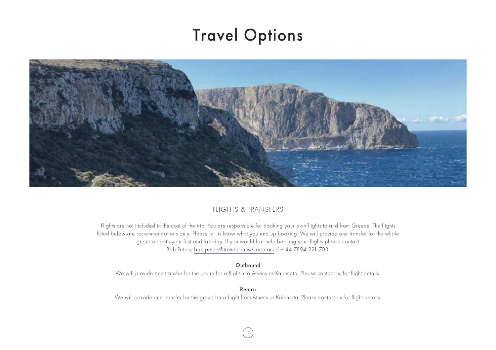### Travel Options



#### FLIGHTS & TRANSFERS

Flights are not included in the cost of the trip. You are responsible for booking your own flights to and from Greece. The flights listed below are recommendations only. Please let us know what you end up booking. We will provide one transfer for the whole group on both your first and last day. If you would like help booking your flights please contact Bob Peters: [bob.peters@travelcounsellors.com](mailto:bob.peters%40travelcounsellors.com?subject=) / + 44 7894 221 703.

#### **Outbound**

We will provide one transfer for the group for a flight into Athens or Kalamata. Please contact us for flight details.

Return

We will provide one transfer for the group for a flight from Athens or Kalamata. Please contact us for flight details.

 $\frac{1}{10}$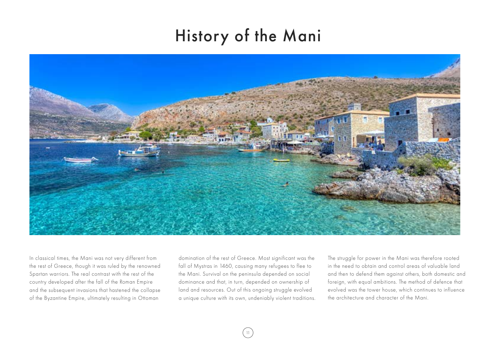# History of the Mani



In classical times, the Mani was not very different from the rest of Greece, though it was ruled by the renowned Spartan warriors. The real contrast with the rest of the country developed after the fall of the Roman Empire and the subsequent invasions that hastened the collapse of the Byzantine Empire, ultimately resulting in Ottoman

domination of the rest of Greece. Most significant was the fall of Mystras in 1460, causing many refugees to flee to the Mani. Survival on the peninsula depended on social dominance and that, in turn, depended on ownership of land and resources. Out of this ongoing struggle evolved a unique culture with its own, undeniably violent traditions.

11

The struggle for power in the Mani was therefore rooted in the need to obtain and control areas of valuable land and then to defend them against others, both domestic and foreign, with equal ambitions. The method of defence that evolved was the tower house, which continues to influence the architecture and character of the Mani.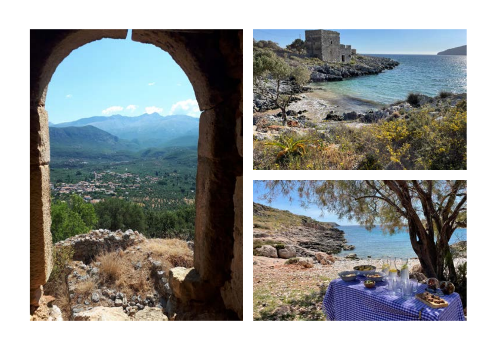



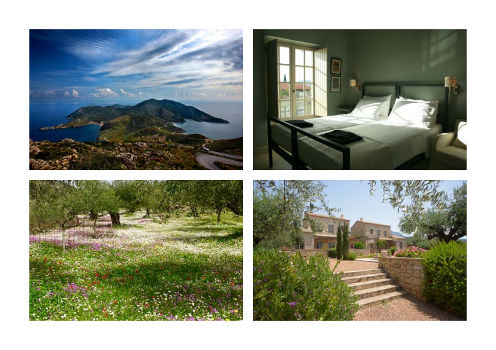